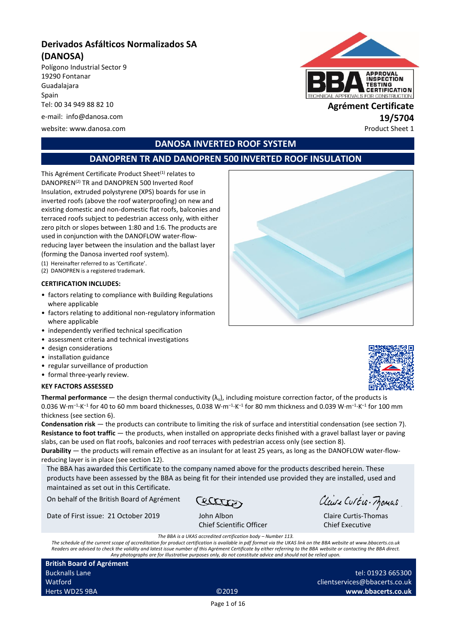# **Derivados Asfálticos Normalizados SA (DANOSA)**

Polígono Industrial Sector 9 19290 Fontanar Guadalajara Spain Tel: 00 34 949 88 82 10 **Agrément Certificate**

e-mail: info@danosa.com **19/5704**

website: www.danosa.com ethnology and the extra state of the extra state of the Product Sheet 1



# **DANOSA INVERTED ROOF SYSTEM**

# **DANOPREN TR AND DANOPREN 500 INVERTED ROOF INSULATION**

This Agrément Certificate Product Sheet<sup>(1)</sup> relates to DANOPREN(2) TR and DANOPREN 500 Inverted Roof Insulation, extruded polystyrene (XPS) boards for use in inverted roofs (above the roof waterproofing) on new and existing domestic and non-domestic flat roofs, balconies and terraced roofs subject to pedestrian access only, with either zero pitch or slopes between 1:80 and 1:6. The products are used in conjunction with the DANOFLOW water-flowreducing layer between the insulation and the ballast layer (forming the Danosa inverted roof system).

(1) Hereinafter referred to as 'Certificate'.

(2) DANOPREN is a registered trademark.

#### **CERTIFICATION INCLUDES:**

- factors relating to compliance with Building Regulations where applicable
- factors relating to additional non-regulatory information where applicable
- independently verified technical specification
- assessment criteria and technical investigations
- design considerations
- installation guidance
- regular surveillance of production
- formal three-yearly review.

#### **KEY FACTORS ASSESSED**



**Thermal performance** — the design thermal conductivity  $(\lambda_u)$ , including moisture correction factor, of the products is 0.036 W·m<sup>–1</sup>·K<sup>–1</sup> for 40 to 60 mm board thicknesses, 0.038 W·m<sup>–1</sup>·K<sup>–1</sup> for 80 mm thickness and 0.039 W·m<sup>–1</sup>·K<sup>–1</sup> for 100 mm thickness (see section 6).

**Condensation risk** — the products can contribute to limiting the risk of surface and interstitial condensation (see section 7). **Resistance to foot traffic** — the products, when installed on appropriate decks finished with a gravel ballast layer or paving slabs, can be used on flat roofs, balconies and roof terraces with pedestrian access only (see section 8).

**Durability** — the products will remain effective as an insulant for at least 25 years, as long as the DANOFLOW water-flowreducing layer is in place (see section 12).

The BBA has awarded this Certificate to the company named above for the products described herein. These products have been assessed by the BBA as being fit for their intended use provided they are installed, used and maintained as set out in this Certificate.

On behalf of the British Board of Agrément

Date of First issue: 21 October 2019 John Albon

Cetter

Chief Scientific Officer

Claire Curtis-Momas

tel: 01923 665300

Claire Curtis-Thomas Chief Executive

*The BBA is a UKAS accredited certification body – Number 113.*

*The schedule of the current scope of accreditation for product certification is available in pdf format via the UKAS link on the BBA website at www.bbacerts.co.uk Readers are advised to check the validity and latest issue number of this Agrément Certificate by either referring to the BBA website or contacting the BBA direct. Any photographs are for illustrative purposes only, do not constitute advice and should not be relied upon.*

**British Board of Agrément** Bucknalls Lane Watford Herts WD25 9BA ©2019

clientservices@bbacerts.co.uk **www.bbacerts.co.uk**

Page 1 of 16

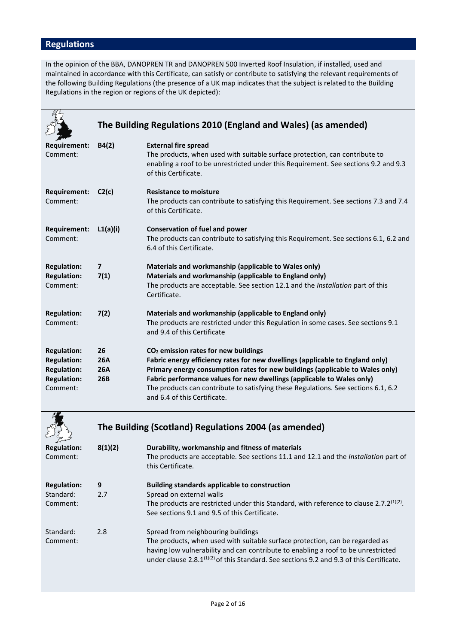# **Regulations**

In the opinion of the BBA, DANOPREN TR and DANOPREN 500 Inverted Roof Insulation, if installed, used and maintained in accordance with this Certificate, can satisfy or contribute to satisfying the relevant requirements of the following Building Regulations (the presence of a UK map indicates that the subject is related to the Building Regulations in the region or regions of the UK depicted):

|                                                                                                  |                                              | The Building Regulations 2010 (England and Wales) (as amended)                                                                                                                                                                                                                                                                                                                                                     |
|--------------------------------------------------------------------------------------------------|----------------------------------------------|--------------------------------------------------------------------------------------------------------------------------------------------------------------------------------------------------------------------------------------------------------------------------------------------------------------------------------------------------------------------------------------------------------------------|
| <b>Requirement:</b><br>Comment:                                                                  | B4(2)                                        | <b>External fire spread</b><br>The products, when used with suitable surface protection, can contribute to<br>enabling a roof to be unrestricted under this Requirement. See sections 9.2 and 9.3<br>of this Certificate.                                                                                                                                                                                          |
| <b>Requirement:</b><br>Comment:                                                                  | C2(c)                                        | <b>Resistance to moisture</b><br>The products can contribute to satisfying this Requirement. See sections 7.3 and 7.4<br>of this Certificate.                                                                                                                                                                                                                                                                      |
| <b>Requirement:</b><br>Comment:                                                                  | L1(a)(i)                                     | <b>Conservation of fuel and power</b><br>The products can contribute to satisfying this Requirement. See sections 6.1, 6.2 and<br>6.4 of this Certificate.                                                                                                                                                                                                                                                         |
| <b>Regulation:</b><br><b>Regulation:</b><br>Comment:                                             | $\overline{7}$<br>7(1)                       | Materials and workmanship (applicable to Wales only)<br>Materials and workmanship (applicable to England only)<br>The products are acceptable. See section 12.1 and the Installation part of this<br>Certificate.                                                                                                                                                                                                  |
| <b>Regulation:</b><br>Comment:                                                                   | 7(2)                                         | Materials and workmanship (applicable to England only)<br>The products are restricted under this Regulation in some cases. See sections 9.1<br>and 9.4 of this Certificate                                                                                                                                                                                                                                         |
| <b>Regulation:</b><br><b>Regulation:</b><br><b>Regulation:</b><br><b>Regulation:</b><br>Comment: | 26<br><b>26A</b><br><b>26A</b><br><b>26B</b> | CO <sub>2</sub> emission rates for new buildings<br>Fabric energy efficiency rates for new dwellings (applicable to England only)<br>Primary energy consumption rates for new buildings (applicable to Wales only)<br>Fabric performance values for new dwellings (applicable to Wales only)<br>The products can contribute to satisfying these Regulations. See sections 6.1, 6.2<br>and 6.4 of this Certificate. |

|                                             | The Building (Scotland) Regulations 2004 (as amended) |                                                                                                                                                                                                                                                                                                                 |  |
|---------------------------------------------|-------------------------------------------------------|-----------------------------------------------------------------------------------------------------------------------------------------------------------------------------------------------------------------------------------------------------------------------------------------------------------------|--|
| <b>Regulation:</b><br>Comment:              | 8(1)(2)                                               | Durability, workmanship and fitness of materials<br>The products are acceptable. See sections 11.1 and 12.1 and the <i>Installation</i> part of<br>this Certificate.                                                                                                                                            |  |
| <b>Regulation:</b><br>Standard:<br>Comment: | 9<br>2.7                                              | Building standards applicable to construction<br>Spread on external walls<br>The products are restricted under this Standard, with reference to clause 2.7.2 <sup>(1)(2)</sup> .<br>See sections 9.1 and 9.5 of this Certificate.                                                                               |  |
| Standard:<br>Comment:                       | 2.8                                                   | Spread from neighbouring buildings<br>The products, when used with suitable surface protection, can be regarded as<br>having low vulnerability and can contribute to enabling a roof to be unrestricted<br>under clause 2.8.1 <sup>(1)(2)</sup> of this Standard. See sections 9.2 and 9.3 of this Certificate. |  |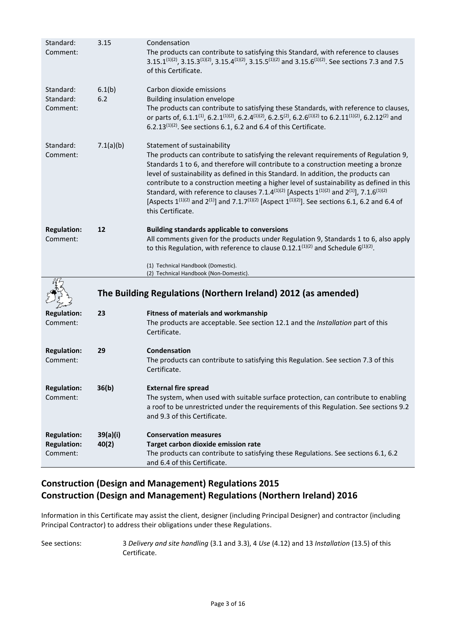| Standard:<br>Comment:              | 3.15          | Condensation<br>The products can contribute to satisfying this Standard, with reference to clauses<br>3.15.1 <sup>(1)(2)</sup> , 3.15.3 <sup>(1)(2)</sup> , 3.15.4 <sup>(1)(2)</sup> , 3.15.5 <sup>(1)(2)</sup> and 3.15.6 <sup>(1)(2)</sup> . See sections 7.3 and 7.5<br>of this Certificate.                                                                                                                                                                                                                                                                                                                                                                              |  |
|------------------------------------|---------------|------------------------------------------------------------------------------------------------------------------------------------------------------------------------------------------------------------------------------------------------------------------------------------------------------------------------------------------------------------------------------------------------------------------------------------------------------------------------------------------------------------------------------------------------------------------------------------------------------------------------------------------------------------------------------|--|
| Standard:<br>Standard:<br>Comment: | 6.1(b)<br>6.2 | Carbon dioxide emissions<br>Building insulation envelope<br>The products can contribute to satisfying these Standards, with reference to clauses,<br>or parts of, 6.1.1 <sup>(1)</sup> , 6.2.1 <sup>(1)</sup> (2), 6.2.4 <sup>(1)</sup> (2), 6.2.5 <sup>(2)</sup> , 6.2.6 <sup>(1)</sup> (2) to 6.2.11 <sup>(1)</sup> (2), 6.2.12 <sup>(2)</sup> and<br>6.2.13 $(1)(2)$ . See sections 6.1, 6.2 and 6.4 of this Certificate.                                                                                                                                                                                                                                                 |  |
| Standard:<br>Comment:              | 7.1(a)(b)     | Statement of sustainability<br>The products can contribute to satisfying the relevant requirements of Regulation 9,<br>Standards 1 to 6, and therefore will contribute to a construction meeting a bronze<br>level of sustainability as defined in this Standard. In addition, the products can<br>contribute to a construction meeting a higher level of sustainability as defined in this<br>Standard, with reference to clauses 7.1.4 <sup>(1)(2)</sup> [Aspects $1^{(1)(2)}$ and $2^{(1)}$ ], 7.1.6 <sup>(1)(2)</sup><br>[Aspects $1^{(1)(2)}$ and $2^{(1)}$ ] and 7.1.7 <sup>(1)(2)</sup> [Aspect $1^{(1)(2)}$ ]. See sections 6.1, 6.2 and 6.4 of<br>this Certificate. |  |
| <b>Regulation:</b><br>Comment:     | 12            | <b>Building standards applicable to conversions</b><br>All comments given for the products under Regulation 9, Standards 1 to 6, also apply<br>to this Regulation, with reference to clause 0.12.1 $(1)(2)$ and Schedule 6 $(1)(2)$ .<br>(1) Technical Handbook (Domestic).                                                                                                                                                                                                                                                                                                                                                                                                  |  |
|                                    |               | (2) Technical Handbook (Non-Domestic).                                                                                                                                                                                                                                                                                                                                                                                                                                                                                                                                                                                                                                       |  |
|                                    |               | The Building Regulations (Northern Ireland) 2012 (as amended)                                                                                                                                                                                                                                                                                                                                                                                                                                                                                                                                                                                                                |  |
| <b>Regulation:</b>                 | 23            | <b>Fitness of materials and workmanship</b>                                                                                                                                                                                                                                                                                                                                                                                                                                                                                                                                                                                                                                  |  |
| Comment:                           |               | The products are acceptable. See section 12.1 and the Installation part of this<br>Certificate.                                                                                                                                                                                                                                                                                                                                                                                                                                                                                                                                                                              |  |
| <b>Regulation:</b><br>Comment:     | 29            | Condensation<br>The products can contribute to satisfying this Regulation. See section 7.3 of this<br>Certificate.                                                                                                                                                                                                                                                                                                                                                                                                                                                                                                                                                           |  |
| <b>Regulation:</b><br>Comment:     | 36(b)         | <b>External fire spread</b><br>The system, when used with suitable surface protection, can contribute to enabling<br>a roof to be unrestricted under the requirements of this Regulation. See sections 9.2<br>and 9.3 of this Certificate.                                                                                                                                                                                                                                                                                                                                                                                                                                   |  |
| <b>Regulation:</b>                 | 39(a)(i)      | <b>Conservation measures</b>                                                                                                                                                                                                                                                                                                                                                                                                                                                                                                                                                                                                                                                 |  |
| <b>Regulation:</b>                 | 40(2)         | Target carbon dioxide emission rate                                                                                                                                                                                                                                                                                                                                                                                                                                                                                                                                                                                                                                          |  |
| Comment:                           |               | The products can contribute to satisfying these Regulations. See sections 6.1, 6.2<br>and 6.4 of this Certificate.                                                                                                                                                                                                                                                                                                                                                                                                                                                                                                                                                           |  |

# **Construction (Design and Management) Regulations 2015 Construction (Design and Management) Regulations (Northern Ireland) 2016**

Information in this Certificate may assist the client, designer (including Principal Designer) and contractor (including Principal Contractor) to address their obligations under these Regulations.

See sections: 3 *Delivery and site handling* (3.1 and 3.3), 4 *Use* (4.12) and 13 *Installation* (13.5) of this Certificate.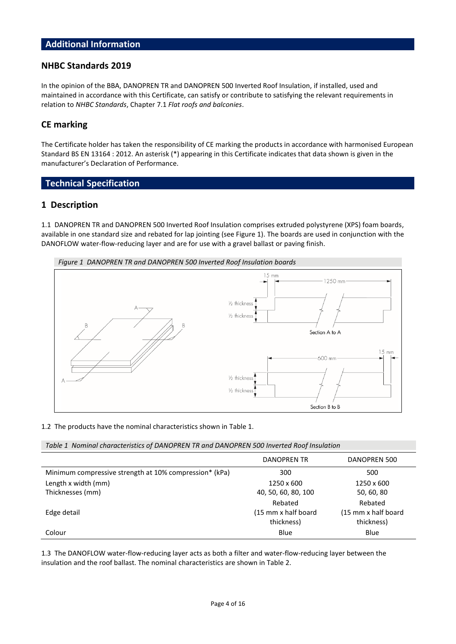## **Additional Information**

#### **NHBC Standards 2019**

In the opinion of the BBA, DANOPREN TR and DANOPREN 500 Inverted Roof Insulation, if installed, used and maintained in accordance with this Certificate, can satisfy or contribute to satisfying the relevant requirements in relation to *NHBC Standards*, Chapter 7.1 *Flat roofs and balconies*.

### **CE marking**

The Certificate holder has taken the responsibility of CE marking the products in accordance with harmonised European Standard BS EN 13164 : 2012. An asterisk (\*) appearing in this Certificate indicates that data shown is given in the manufacturer's Declaration of Performance.

## **Technical Specification**

### **1 Description**

1.1 DANOPREN TR and DANOPREN 500 Inverted Roof Insulation comprises extruded polystyrene (XPS) foam boards, available in one standard size and rebated for lap jointing (see Figure 1). The boards are used in conjunction with the DANOFLOW water-flow-reducing layer and are for use with a gravel ballast or paving finish.



#### 1.2 The products have the nominal characteristics shown in Table 1.

*Table 1 Nominal characteristics of DANOPREN TR and DANOPREN 500 Inverted Roof Insulation*

|                                                        | DANOPREN TR          | DANOPREN 500         |
|--------------------------------------------------------|----------------------|----------------------|
| Minimum compressive strength at 10% compression* (kPa) | 300                  | 500                  |
| Length x width (mm)                                    | 1250 x 600           | 1250 x 600           |
| Thicknesses (mm)                                       | 40, 50, 60, 80, 100  | 50, 60, 80           |
|                                                        | Rebated              | Rebated              |
| Edge detail                                            | (15 mm x half board) | (15 mm x half board) |
|                                                        | thickness)           | thickness)           |
| Colour                                                 | Blue                 | Blue                 |

1.3 The DANOFLOW water-flow-reducing layer acts as both a filter and water-flow-reducing layer between the insulation and the roof ballast. The nominal characteristics are shown in Table 2.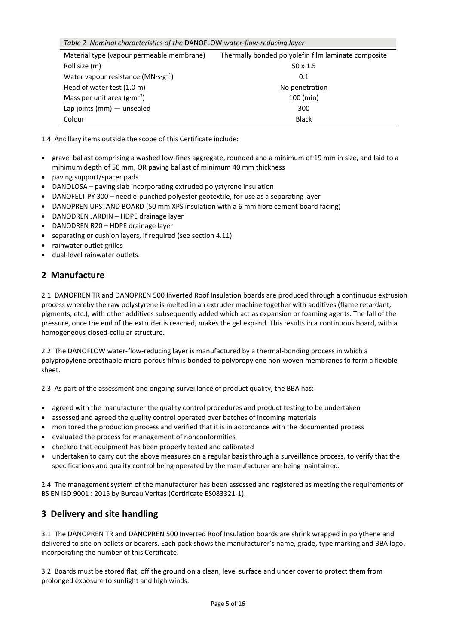|  | Table 2 Nominal characteristics of the DANOFLOW water-flow-reducing layer |  |
|--|---------------------------------------------------------------------------|--|
|--|---------------------------------------------------------------------------|--|

| Material type (vapour permeable membrane)             | Thermally bonded polyolefin film laminate composite |
|-------------------------------------------------------|-----------------------------------------------------|
| Roll size (m)                                         | $50 \times 1.5$                                     |
| Water vapour resistance ( $MN \cdot s \cdot g^{-1}$ ) | 0.1                                                 |
| Head of water test (1.0 m)                            | No penetration                                      |
| Mass per unit area $(g \cdot m^{-2})$                 | $100$ (min)                                         |
| Lap joints ( $mm$ ) $-$ unsealed                      | 300                                                 |
| Colour                                                | <b>Black</b>                                        |

1.4 Ancillary items outside the scope of this Certificate include:

- gravel ballast comprising a washed low-fines aggregate, rounded and a minimum of 19 mm in size, and laid to a minimum depth of 50 mm, OR paving ballast of minimum 40 mm thickness
- paving support/spacer pads
- DANOLOSA paving slab incorporating extruded polystyrene insulation
- DANOFELT PY 300 needle-punched polyester geotextile, for use as a separating layer
- DANOPREN UPSTAND BOARD (50 mm XPS insulation with a 6 mm fibre cement board facing)
- DANODREN JARDIN HDPE drainage layer
- DANODREN R20 HDPE drainage layer
- separating or cushion layers, if required (see section 4.11)
- rainwater outlet grilles
- dual-level rainwater outlets.

# **2 Manufacture**

2.1 DANOPREN TR and DANOPREN 500 Inverted Roof Insulation boards are produced through a continuous extrusion process whereby the raw polystyrene is melted in an extruder machine together with additives (flame retardant, pigments, etc.), with other additives subsequently added which act as expansion or foaming agents. The fall of the pressure, once the end of the extruder is reached, makes the gel expand. This results in a continuous board, with a homogeneous closed-cellular structure.

2.2 The DANOFLOW water-flow-reducing layer is manufactured by a thermal-bonding process in which a polypropylene breathable micro-porous film is bonded to polypropylene non-woven membranes to form a flexible sheet.

2.3 As part of the assessment and ongoing surveillance of product quality, the BBA has:

- agreed with the manufacturer the quality control procedures and product testing to be undertaken
- assessed and agreed the quality control operated over batches of incoming materials
- monitored the production process and verified that it is in accordance with the documented process
- evaluated the process for management of nonconformities
- checked that equipment has been properly tested and calibrated
- undertaken to carry out the above measures on a regular basis through a surveillance process, to verify that the specifications and quality control being operated by the manufacturer are being maintained.

2.4 The management system of the manufacturer has been assessed and registered as meeting the requirements of BS EN ISO 9001 : 2015 by Bureau Veritas (Certificate ES083321-1).

# **3 Delivery and site handling**

3.1 The DANOPREN TR and DANOPREN 500 Inverted Roof Insulation boards are shrink wrapped in polythene and delivered to site on pallets or bearers. Each pack shows the manufacturer's name, grade, type marking and BBA logo, incorporating the number of this Certificate.

3.2 Boards must be stored flat, off the ground on a clean, level surface and under cover to protect them from prolonged exposure to sunlight and high winds.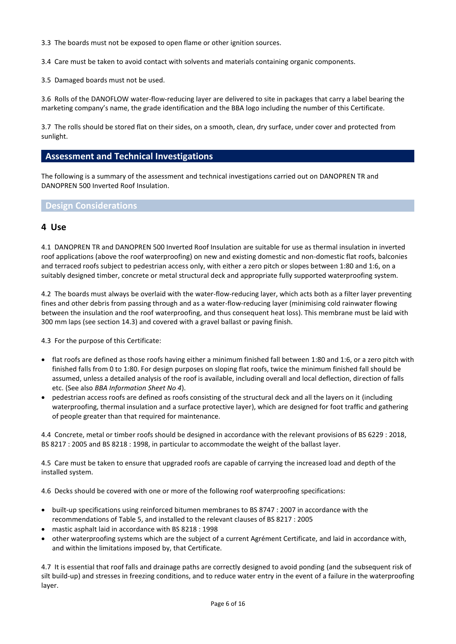3.3 The boards must not be exposed to open flame or other ignition sources.

3.4 Care must be taken to avoid contact with solvents and materials containing organic components.

3.5 Damaged boards must not be used.

3.6 Rolls of the DANOFLOW water-flow-reducing layer are delivered to site in packages that carry a label bearing the marketing company's name, the grade identification and the BBA logo including the number of this Certificate.

3.7 The rolls should be stored flat on their sides, on a smooth, clean, dry surface, under cover and protected from sunlight.

### **Assessment and Technical Investigations**

The following is a summary of the assessment and technical investigations carried out on DANOPREN TR and DANOPREN 500 Inverted Roof Insulation.

### **Design Considerations**

#### **4 Use**

4.1 DANOPREN TR and DANOPREN 500 Inverted Roof Insulation are suitable for use as thermal insulation in inverted roof applications (above the roof waterproofing) on new and existing domestic and non-domestic flat roofs, balconies and terraced roofs subject to pedestrian access only, with either a zero pitch or slopes between 1:80 and 1:6, on a suitably designed timber, concrete or metal structural deck and appropriate fully supported waterproofing system.

4.2 The boards must always be overlaid with the water-flow-reducing layer, which acts both as a filter layer preventing fines and other debris from passing through and as a water-flow-reducing layer (minimising cold rainwater flowing between the insulation and the roof waterproofing, and thus consequent heat loss). This membrane must be laid with 300 mm laps (see section 14.3) and covered with a gravel ballast or paving finish.

4.3 For the purpose of this Certificate:

- flat roofs are defined as those roofs having either a minimum finished fall between 1:80 and 1:6, or a zero pitch with finished falls from 0 to 1:80. For design purposes on sloping flat roofs, twice the minimum finished fall should be assumed, unless a detailed analysis of the roof is available, including overall and local deflection, direction of falls etc. (See also *BBA Information Sheet No 4*).
- pedestrian access roofs are defined as roofs consisting of the structural deck and all the layers on it (including waterproofing, thermal insulation and a surface protective layer), which are designed for foot traffic and gathering of people greater than that required for maintenance.

4.4 Concrete, metal or timber roofs should be designed in accordance with the relevant provisions of BS 6229 : 2018, BS 8217 : 2005 and BS 8218 : 1998, in particular to accommodate the weight of the ballast layer.

4.5 Care must be taken to ensure that upgraded roofs are capable of carrying the increased load and depth of the installed system.

4.6 Decks should be covered with one or more of the following roof waterproofing specifications:

- built-up specifications using reinforced bitumen membranes to BS 8747 : 2007 in accordance with the recommendations of Table 5, and installed to the relevant clauses of BS 8217 : 2005
- mastic asphalt laid in accordance with BS 8218 : 1998
- other waterproofing systems which are the subject of a current Agrément Certificate, and laid in accordance with, and within the limitations imposed by, that Certificate.

4.7 It is essential that roof falls and drainage paths are correctly designed to avoid ponding (and the subsequent risk of silt build-up) and stresses in freezing conditions, and to reduce water entry in the event of a failure in the waterproofing layer.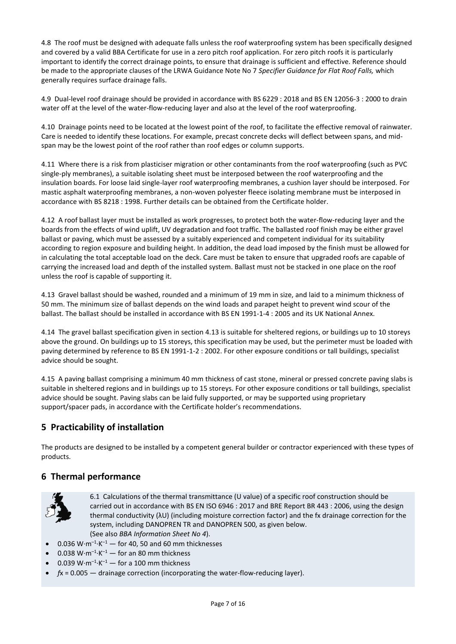4.8 The roof must be designed with adequate falls unless the roof waterproofing system has been specifically designed and covered by a valid BBA Certificate for use in a zero pitch roof application. For zero pitch roofs it is particularly important to identify the correct drainage points, to ensure that drainage is sufficient and effective. Reference should be made to the appropriate clauses of the LRWA Guidance Note No 7 *Specifier Guidance for Flat Roof Falls,* which generally requires surface drainage falls.

4.9 Dual-level roof drainage should be provided in accordance with BS 6229 : 2018 and BS EN 12056-3 : 2000 to drain water off at the level of the water-flow-reducing layer and also at the level of the roof waterproofing.

4.10 Drainage points need to be located at the lowest point of the roof, to facilitate the effective removal of rainwater. Care is needed to identify these locations. For example, precast concrete decks will deflect between spans, and midspan may be the lowest point of the roof rather than roof edges or column supports.

4.11 Where there is a risk from plasticiser migration or other contaminants from the roof waterproofing (such as PVC single-ply membranes), a suitable isolating sheet must be interposed between the roof waterproofing and the insulation boards. For loose laid single-layer roof waterproofing membranes, a cushion layer should be interposed. For mastic asphalt waterproofing membranes, a non-woven polyester fleece isolating membrane must be interposed in accordance with BS 8218 : 1998. Further details can be obtained from the Certificate holder.

4.12 A roof ballast layer must be installed as work progresses, to protect both the water-flow-reducing layer and the boards from the effects of wind uplift, UV degradation and foot traffic. The ballasted roof finish may be either gravel ballast or paving, which must be assessed by a suitably experienced and competent individual for its suitability according to region exposure and building height. In addition, the dead load imposed by the finish must be allowed for in calculating the total acceptable load on the deck. Care must be taken to ensure that upgraded roofs are capable of carrying the increased load and depth of the installed system. Ballast must not be stacked in one place on the roof unless the roof is capable of supporting it.

4.13 Gravel ballast should be washed, rounded and a minimum of 19 mm in size, and laid to a minimum thickness of 50 mm. The minimum size of ballast depends on the wind loads and parapet height to prevent wind scour of the ballast. The ballast should be installed in accordance with BS EN 1991-1-4 : 2005 and its UK National Annex.

4.14 The gravel ballast specification given in section 4.13 is suitable for sheltered regions, or buildings up to 10 storeys above the ground. On buildings up to 15 storeys, this specification may be used, but the perimeter must be loaded with paving determined by reference to BS EN 1991-1-2 : 2002. For other exposure conditions or tall buildings, specialist advice should be sought.

4.15 A paving ballast comprising a minimum 40 mm thickness of cast stone, mineral or pressed concrete paving slabs is suitable in sheltered regions and in buildings up to 15 storeys. For other exposure conditions or tall buildings, specialist advice should be sought. Paving slabs can be laid fully supported, or may be supported using proprietary support/spacer pads, in accordance with the Certificate holder's recommendations.

# **5 Practicability of installation**

The products are designed to be installed by a competent general builder or contractor experienced with these types of products.

# **6 Thermal performance**



6.1 Calculations of the thermal transmittance (U value) of a specific roof construction should be carried out in accordance with BS EN ISO 6946 : 2017 and BRE Report BR 443 : 2006, using the design thermal conductivity (λU) (including moisture correction factor) and the fx drainage correction for the system, including DANOPREN TR and DANOPREN 500, as given below. (See also *BBA Information Sheet No 4*).

- 0.036  $W \cdot m^{-1} \cdot K^{-1}$  for 40, 50 and 60 mm thicknesses
- 0.038  $W \cdot m^{-1} \cdot K^{-1}$  for an 80 mm thickness
- 0.039  $W \cdot m^{-1} \cdot K^{-1}$  for a 100 mm thickness
- $f$ x = 0.005  $-$  drainage correction (incorporating the water-flow-reducing layer).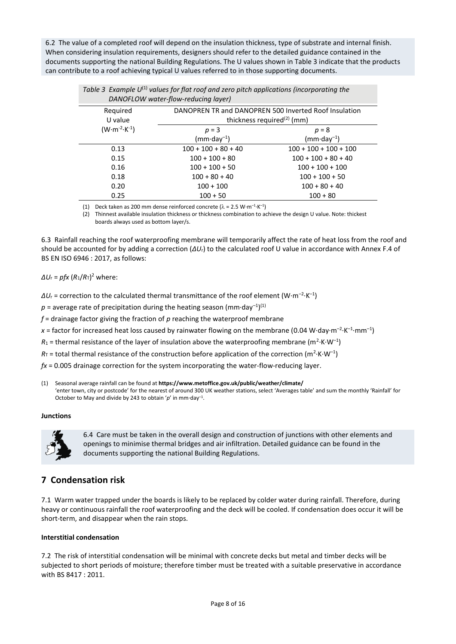6.2 The value of a completed roof will depend on the insulation thickness, type of substrate and internal finish. When considering insulation requirements, designers should refer to the detailed guidance contained in the documents supporting the national Building Regulations. The U values shown in Table 3 indicate that the products can contribute to a roof achieving typical U values referred to in those supporting documents.

| Table 5 Example 6 - Values for fluction and zero pitch applications (incorporating the<br>DANOFLOW water-flow-reducing layer) |                                                                                                 |                         |  |
|-------------------------------------------------------------------------------------------------------------------------------|-------------------------------------------------------------------------------------------------|-------------------------|--|
| Required<br>U value                                                                                                           | DANOPREN TR and DANOPREN 500 Inverted Roof Insulation<br>thickness required <sup>(2)</sup> (mm) |                         |  |
| $(W \cdot m^{-2} \cdot K^{-1})$                                                                                               | $p = 3$                                                                                         | $p = 8$                 |  |
|                                                                                                                               | $(mm \cdot day^{-1})$                                                                           | $(mm \cdot day^{-1})$   |  |
| 0.13                                                                                                                          | $100 + 100 + 80 + 40$                                                                           | $100 + 100 + 100 + 100$ |  |
| 0.15                                                                                                                          | $100 + 100 + 80$                                                                                | $100 + 100 + 80 + 40$   |  |
| 0.16                                                                                                                          | $100 + 100 + 50$                                                                                | $100 + 100 + 100$       |  |
| 0.18                                                                                                                          | $100 + 80 + 40$                                                                                 | $100 + 100 + 50$        |  |
| 0.20                                                                                                                          | $100 + 100$                                                                                     | $100 + 80 + 40$         |  |
| 0.25                                                                                                                          | $100 + 50$                                                                                      | $100 + 80$              |  |

Table 3 Example U<sup>(1)</sup> values for flat roof and zero pitch applications (incorporating the

(1) Deck taken as 200 mm dense reinforced concrete ( $\lambda = 2.5$  W·m<sup>-1</sup>·K<sup>-1</sup>)

(2) Thinnest available insulation thickness or thickness combination to achieve the design U value. Note: thickest boards always used as bottom layer/s.

6.3 Rainfall reaching the roof waterproofing membrane will temporarily affect the rate of heat loss from the roof and should be accounted for by adding a correction (*∆U*r) to the calculated roof U value in accordance with Annex F.4 of BS EN ISO 6946 : 2017, as follows:

#### *∆U*<sup>r</sup> = *pfx* (*R*1/*R*T) <sup>2</sup> where:

 $\Delta U$ <sub>r</sub> = correction to the calculated thermal transmittance of the roof element (W·m<sup>-2</sup>·K<sup>-1</sup>)

 $p$  = average rate of precipitation during the heating season (mm·day<sup>-1</sup>)<sup>(1)</sup>

*f* = drainage factor giving the fraction of *p* reaching the waterproof membrane

x = factor for increased heat loss caused by rainwater flowing on the membrane (0.04 W·day·m<sup>-2</sup>·K<sup>-1</sup>·mm<sup>-1</sup>)

 $R_1$  = thermal resistance of the layer of insulation above the waterproofing membrane (m<sup>2</sup>·K·W<sup>-1</sup>)

 $R_{\text{T}}$  = total thermal resistance of the construction before application of the correction (m<sup>2</sup>·K·W<sup>-1</sup>)

*fx* = 0.005 drainage correction for the system incorporating the water-flow-reducing layer.

(1) Seasonal average rainfall can be found at **<https://www.metoffice.gov.uk/public/weather/climate/>** 'enter town, city or postcode' for the nearest of around 300 UK weather stations, select 'Averages table' and sum the monthly 'Rainfall' for October to May and divide by 243 to obtain '*p*' in mm·day–<sup>1</sup> .

#### **Junctions**



6.4 Care must be taken in the overall design and construction of junctions with other elements and openings to minimise thermal bridges and air infiltration. Detailed guidance can be found in the documents supporting the national Building Regulations.

# **7 Condensation risk**

7.1 Warm water trapped under the boards is likely to be replaced by colder water during rainfall. Therefore, during heavy or continuous rainfall the roof waterproofing and the deck will be cooled. If condensation does occur it will be short-term, and disappear when the rain stops.

#### **Interstitial condensation**

7.2 The risk of interstitial condensation will be minimal with concrete decks but metal and timber decks will be subjected to short periods of moisture; therefore timber must be treated with a suitable preservative in accordance with BS 8417 : 2011.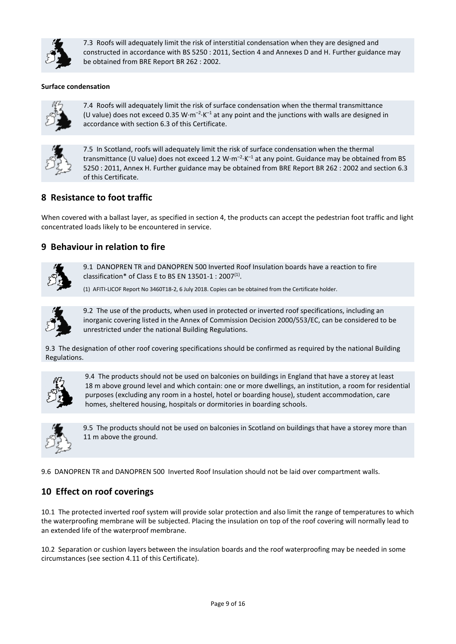

7.3 Roofs will adequately limit the risk of interstitial condensation when they are designed and constructed in accordance with BS 5250 : 2011, Section 4 and Annexes D and H. Further guidance may be obtained from BRE Report BR 262 : 2002.

#### **Surface condensation**



7.4 Roofs will adequately limit the risk of surface condensation when the thermal transmittance (U value) does not exceed 0.35 W·m<sup>-2</sup>·K<sup>-1</sup> at any point and the junctions with walls are designed in accordance with section 6.3 of this Certificate.



7.5 In Scotland, roofs will adequately limit the risk of surface condensation when the thermal transmittance (U value) does not exceed 1.2 W $\cdot$ m<sup>-2</sup> $\cdot$ K<sup>-1</sup> at any point. Guidance may be obtained from BS 5250 : 2011, Annex H. Further guidance may be obtained from BRE Report BR 262 : 2002 and section 6.3 of this Certificate.

## **8 Resistance to foot traffic**

When covered with a ballast layer, as specified in section 4, the products can accept the pedestrian foot traffic and light concentrated loads likely to be encountered in service.

## **9 Behaviour in relation to fire**



9.1 DANOPREN TR and DANOPREN 500 Inverted Roof Insulation boards have a reaction to fire classification\* of Class E to BS EN 13501-1 : 2007 $^{(1)}$ .

(1) AFITI-LICOF Report No 3460T18-2, 6 July 2018. Copies can be obtained from the Certificate holder.



9.2 The use of the products, when used in protected or inverted roof specifications, including an inorganic covering listed in the Annex of Commission Decision 2000/553/EC, can be considered to be unrestricted under the national Building Regulations.

9.3 The designation of other roof covering specifications should be confirmed as required by the national Building Regulations.



9.4 The products should not be used on balconies on buildings in England that have a storey at least 18 m above ground level and which contain: one or more dwellings, an institution, a room for residential purposes (excluding any room in a hostel, hotel or boarding house), student accommodation, care homes, sheltered housing, hospitals or dormitories in boarding schools.



9.5 The products should not be used on balconies in Scotland on buildings that have a storey more than 11 m above the ground.

9.6 DANOPREN TR and DANOPREN 500 Inverted Roof Insulation should not be laid over compartment walls.

# **10 Effect on roof coverings**

10.1 The protected inverted roof system will provide solar protection and also limit the range of temperatures to which the waterproofing membrane will be subjected. Placing the insulation on top of the roof covering will normally lead to an extended life of the waterproof membrane.

10.2 Separation or cushion layers between the insulation boards and the roof waterproofing may be needed in some circumstances (see section 4.11 of this Certificate).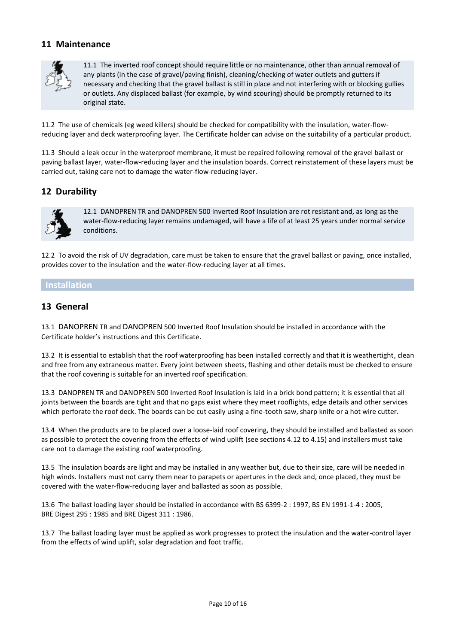## **11 Maintenance**



11.1 The inverted roof concept should require little or no maintenance, other than annual removal of any plants (in the case of gravel/paving finish), cleaning/checking of water outlets and gutters if necessary and checking that the gravel ballast is still in place and not interfering with or blocking gullies or outlets. Any displaced ballast (for example, by wind scouring) should be promptly returned to its original state.

11.2 The use of chemicals (eg weed killers) should be checked for compatibility with the insulation, water-flowreducing layer and deck waterproofing layer. The Certificate holder can advise on the suitability of a particular product.

11.3 Should a leak occur in the waterproof membrane, it must be repaired following removal of the gravel ballast or paving ballast layer, water-flow-reducing layer and the insulation boards. Correct reinstatement of these layers must be carried out, taking care not to damage the water-flow-reducing layer.

# **12 Durability**



12.1 DANOPREN TR and DANOPREN 500 Inverted Roof Insulation are rot resistant and, as long as the water-flow-reducing layer remains undamaged, will have a life of at least 25 years under normal service conditions.

12.2 To avoid the risk of UV degradation, care must be taken to ensure that the gravel ballast or paving, once installed, provides cover to the insulation and the water-flow-reducing layer at all times.

### **Installation**

### **13 General**

13.1 DANOPREN TR and DANOPREN 500 Inverted Roof Insulation should be installed in accordance with the Certificate holder's instructions and this Certificate.

13.2 It is essential to establish that the roof waterproofing has been installed correctly and that it is weathertight, clean and free from any extraneous matter. Every joint between sheets, flashing and other details must be checked to ensure that the roof covering is suitable for an inverted roof specification.

13.3 DANOPREN TR and DANOPREN 500 Inverted Roof Insulation is laid in a brick bond pattern; it is essential that all joints between the boards are tight and that no gaps exist where they meet rooflights, edge details and other services which perforate the roof deck. The boards can be cut easily using a fine-tooth saw, sharp knife or a hot wire cutter.

13.4 When the products are to be placed over a loose-laid roof covering, they should be installed and ballasted as soon as possible to protect the covering from the effects of wind uplift (see sections 4.12 to 4.15) and installers must take care not to damage the existing roof waterproofing.

13.5 The insulation boards are light and may be installed in any weather but, due to their size, care will be needed in high winds. Installers must not carry them near to parapets or apertures in the deck and, once placed, they must be covered with the water-flow-reducing layer and ballasted as soon as possible.

13.6 The ballast loading layer should be installed in accordance with BS 6399-2 : 1997, BS EN 1991-1-4 : 2005, BRE Digest 295 : 1985 and BRE Digest 311 : 1986.

13.7 The ballast loading layer must be applied as work progresses to protect the insulation and the water-control layer from the effects of wind uplift, solar degradation and foot traffic.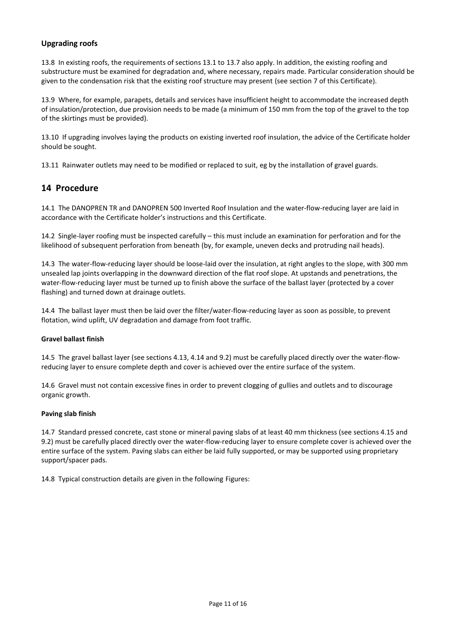#### **Upgrading roofs**

13.8 In existing roofs, the requirements of sections 13.1 to 13.7 also apply. In addition, the existing roofing and substructure must be examined for degradation and, where necessary, repairs made. Particular consideration should be given to the condensation risk that the existing roof structure may present (see section 7 of this Certificate).

13.9 Where, for example, parapets, details and services have insufficient height to accommodate the increased depth of insulation/protection, due provision needs to be made (a minimum of 150 mm from the top of the gravel to the top of the skirtings must be provided).

13.10 If upgrading involves laying the products on existing inverted roof insulation, the advice of the Certificate holder should be sought.

13.11 Rainwater outlets may need to be modified or replaced to suit, eg by the installation of gravel guards.

# **14 Procedure**

14.1 The DANOPREN TR and DANOPREN 500 Inverted Roof Insulation and the water-flow-reducing layer are laid in accordance with the Certificate holder's instructions and this Certificate.

14.2 Single-layer roofing must be inspected carefully – this must include an examination for perforation and for the likelihood of subsequent perforation from beneath (by, for example, uneven decks and protruding nail heads).

14.3 The water-flow-reducing layer should be loose-laid over the insulation, at right angles to the slope, with 300 mm unsealed lap joints overlapping in the downward direction of the flat roof slope. At upstands and penetrations, the water-flow-reducing layer must be turned up to finish above the surface of the ballast layer (protected by a cover flashing) and turned down at drainage outlets.

14.4 The ballast layer must then be laid over the filter/water-flow-reducing layer as soon as possible, to prevent flotation, wind uplift, UV degradation and damage from foot traffic.

#### **Gravel ballast finish**

14.5 The gravel ballast layer (see sections 4.13, 4.14 and 9.2) must be carefully placed directly over the water-flowreducing layer to ensure complete depth and cover is achieved over the entire surface of the system.

14.6 Gravel must not contain excessive fines in order to prevent clogging of gullies and outlets and to discourage organic growth.

#### **Paving slab finish**

14.7 Standard pressed concrete, cast stone or mineral paving slabs of at least 40 mm thickness (see sections 4.15 and 9.2) must be carefully placed directly over the water-flow-reducing layer to ensure complete cover is achieved over the entire surface of the system. Paving slabs can either be laid fully supported, or may be supported using proprietary support/spacer pads.

14.8 Typical construction details are given in the following Figures: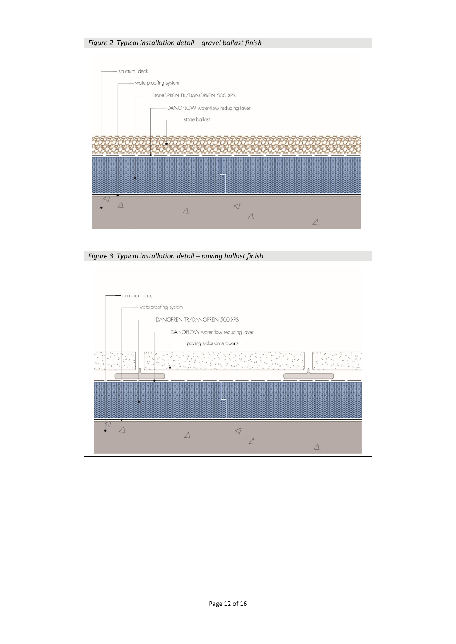

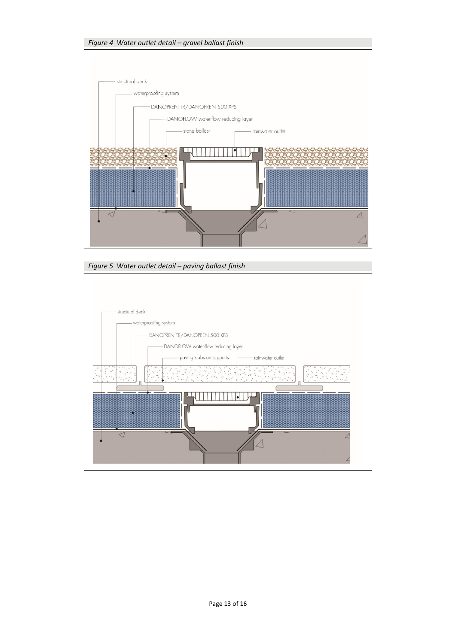

*Figure 5 Water outlet detail – paving ballast finish*

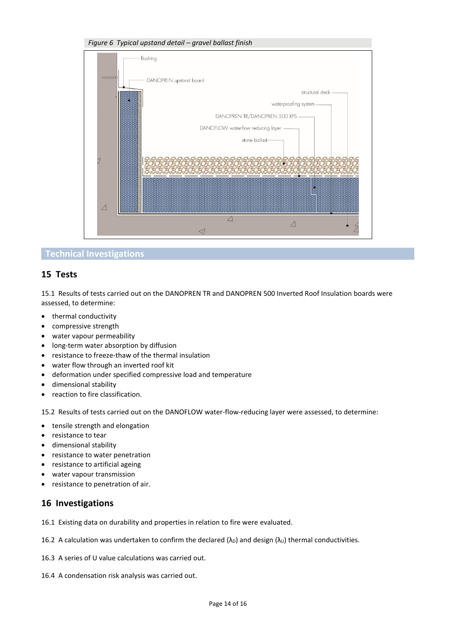

# **Technical Investigations**

### **15 Tests**

15.1 Results of tests carried out on the DANOPREN TR and DANOPREN 500 Inverted Roof Insulation boards were assessed, to determine:

- thermal conductivity
- compressive strength
- water vapour permeability
- long-term water absorption by diffusion
- resistance to freeze-thaw of the thermal insulation
- water flow through an inverted roof kit
- deformation under specified compressive load and temperature
- dimensional stability
- reaction to fire classification.

15.2 Results of tests carried out on the DANOFLOW water-flow-reducing layer were assessed, to determine:

- tensile strength and elongation
- resistance to tear
- dimensional stability
- resistance to water penetration
- resistance to artificial ageing
- water vapour transmission
- resistance to penetration of air.

### **16 Investigations**

16.1 Existing data on durability and properties in relation to fire were evaluated.

- 16.2 A calculation was undertaken to confirm the declared ( $\lambda_D$ ) and design ( $\lambda_U$ ) thermal conductivities.
- 16.3 A series of U value calculations was carried out.
- 16.4 A condensation risk analysis was carried out.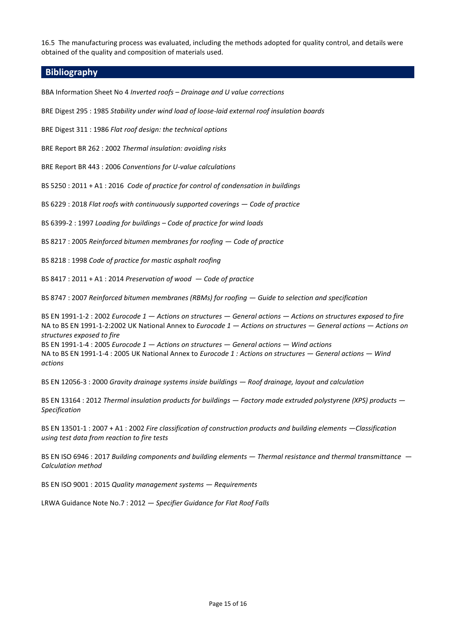16.5 The manufacturing process was evaluated, including the methods adopted for quality control, and details were obtained of the quality and composition of materials used.

#### **Bibliography**

BBA Information Sheet No 4 *Inverted roofs – Drainage and U value corrections*

BRE Digest 295 : 1985 *Stability under wind load of loose-laid external roof insulation boards*

BRE Digest 311 : 1986 *Flat roof design: the technical options*

BRE Report BR 262 : 2002 *Thermal insulation: avoiding risks*

BRE Report BR 443 : 2006 *Conventions for U-value calculations*

BS 5250 : 2011 + A1 : 2016 *Code of practice for control of condensation in buildings*

BS 6229 : 2018 *Flat roofs with continuously supported coverings — Code of practice*

BS 6399-2 : 1997 *Loading for buildings – Code of practice for wind loads*

BS 8217 : 2005 *Reinforced bitumen membranes for roofing — Code of practice*

BS 8218 : 1998 *Code of practice for mastic asphalt roofing*

BS 8417 : 2011 + A1 : 2014 *Preservation of wood — Code of practice*

BS 8747 : 2007 *Reinforced bitumen membranes (RBMs) for roofing — Guide to selection and specification*

BS EN 1991-1-2 : 2002 *Eurocode 1 — Actions on structures — General actions — Actions on structures exposed to fire* NA to BS EN 1991-1-2:2002 UK National Annex to *Eurocode 1 — Actions on structures — General actions — Actions on structures exposed to fire*

BS EN 1991-1-4 : 2005 *Eurocode 1 — Actions on structures — General actions — Wind actions* NA to BS EN 1991-1-4 : 2005 UK National Annex to *Eurocode 1 : Actions on structures — General actions — Wind actions*

BS EN 12056-3 : 2000 *Gravity drainage systems inside buildings — Roof drainage, layout and calculation*

BS EN 13164 : 2012 *Thermal insulation products for buildings — Factory made extruded polystyrene (XPS) products — Specification*

BS EN 13501-1 : 2007 + A1 : 2002 *Fire classification of construction products and building elements —Classification using test data from reaction to fire tests*

BS EN ISO 6946 : 2017 *Building components and building elements — Thermal resistance and thermal transmittance — Calculation method*

BS EN ISO 9001 : 2015 *Quality management systems — Requirements*

LRWA Guidance Note No.7 : 2012 *— Specifier Guidance for Flat Roof Falls*